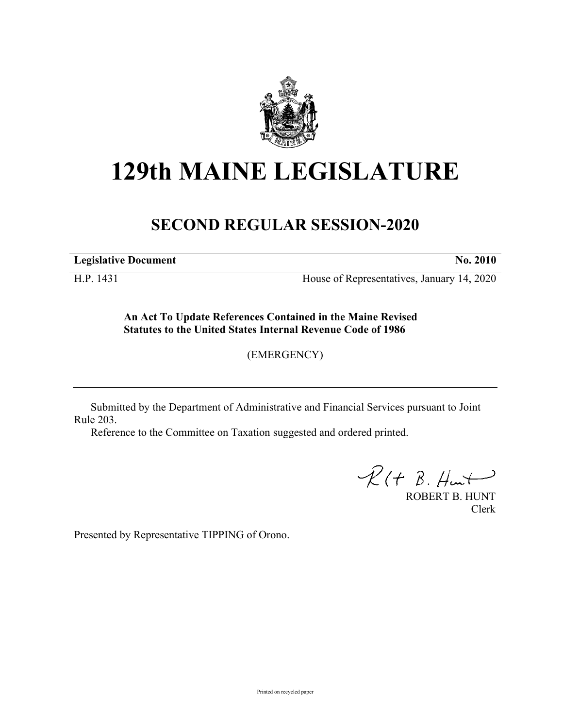

## **129th MAINE LEGISLATURE**

## **SECOND REGULAR SESSION-2020**

**Legislative Document No. 2010**

H.P. 1431 House of Representatives, January 14, 2020

**An Act To Update References Contained in the Maine Revised Statutes to the United States Internal Revenue Code of 1986**

(EMERGENCY)

Submitted by the Department of Administrative and Financial Services pursuant to Joint Rule 203.

Reference to the Committee on Taxation suggested and ordered printed.

 $R(H B. H<sub>un</sub>+)$ 

ROBERT B. HUNT Clerk

Presented by Representative TIPPING of Orono.